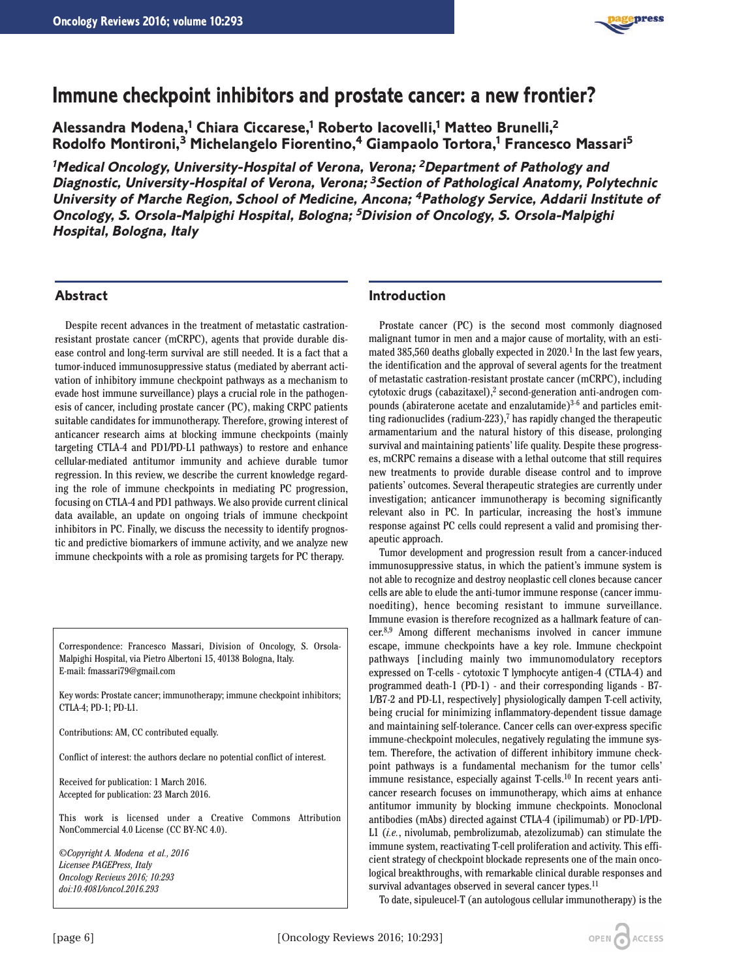

# **Immune checkpoint inhibitors and prostate cancer: a new frontier?**

**Alessandra Modena,1 Chiara Ciccarese,1 Roberto Iacovelli,1 Matteo Brunelli,2 Rodolfo Montironi,3 Michelangelo Fiorentino,4 Giampaolo Tortora,1 Francesco Massari5**

**<sup>1</sup>Medical Oncology, University-Hospital of Verona, Verona; <sup>2</sup>Department of Pathology and Diagnostic, University-Hospital of Verona, Verona; <sup>3</sup>Section of Pathological Anatomy, Polytechnic University of Marche Region, School of Medicine, Ancona; <sup>4</sup>Pathology Service, Addarii Institute of Oncology, S. Orsola-Malpighi Hospital, Bologna; <sup>5</sup>Division of Oncology, S. Orsola-Malpighi Hospital, Bologna, Italy**

## **Abstract**

Despite recent advances in the treatment of metastatic castrationresistant prostate cancer (mCRPC), agents that provide durable disease control and long-term survival are still needed. It is a fact that a tumor-induced immunosuppressive status (mediated by aberrant activation of inhibitory immune checkpoint pathways as a mechanism to evade host immune surveillance) plays a crucial role in the pathogenesis of cancer, including prostate cancer (PC), making CRPC patients suitable candidates for immunotherapy. Therefore, growing interest of anticancer research aims at blocking immune checkpoints (mainly targeting CTLA-4 and PD1/PD-L1 pathways) to restore and enhance cellular-mediated antitumor immunity and achieve durable tumor regression. In this review, we describe the current knowledge regarding the role of immune checkpoints in mediating PC progression, focusing on CTLA-4 and PD1 pathways. We also provide current clinical data available, an update on ongoing trials of immune checkpoint inhibitors in PC. Finally, we discuss the necessity to identify prognostic and predictive biomarkers of immune activity, and we analyze new immune checkpoints with a role as promising targets for PC therapy.

Correspondence: Francesco Massari, Division of Oncology, S. Orsola-Malpighi Hospital, via Pietro Albertoni 15, 40138 Bologna, Italy. E-mail: fmassari79@gmail.com

Key words: Prostate cancer; immunotherapy; immune checkpoint inhibitors; CTLA-4; PD-1; PD-L1.

Contributions: AM, CC contributed equally.

Conflict of interest: the authors declare no potential conflict of interest.

Received for publication: 1 March 2016. Accepted for publication: 23 March 2016.

This work is licensed under a Creative Commons Attribution NonCommercial 4.0 License (CC BY-NC 4.0).

*©Copyright A. Modena et al., 2016 Licensee PAGEPress, Italy Oncology Reviews 2016; 10:293 doi:10.4081/oncol.2016.293*

## **Introduction**

Prostate cancer (PC) is the second most commonly diagnosed malignant tumor in men and a major cause of mortality, with an estimated  $385,560$  deaths globally expected in  $2020$ .<sup>1</sup> In the last few years, the identification and the approval of several agents for the treatment of metastatic castration-resistant prostate cancer (mCRPC), including cytotoxic drugs (cabazitaxel),<sup>2</sup> second-generation anti-androgen compounds (abiraterone acetate and enzalutamide) $3-6$  and particles emitting radionuclides (radium-223), $7$  has rapidly changed the therapeutic armamentarium and the natural history of this disease, prolonging survival and maintaining patients' life quality. Despite these progresses, mCRPC remains a disease with a lethal outcome that still requires new treatments to provide durable disease control and to improve patients' outcomes. Several therapeutic strategies are currently under investigation; anticancer immunotherapy is becoming significantly relevant also in PC. In particular, increasing the host's immune response against PC cells could represent a valid and promising therapeutic approach.

Tumor development and progression result from a cancer-induced immunosuppressive status, in which the patient's immune system is not able to recognize and destroy neoplastic cell clones because cancer cells are able to elude the anti-tumor immune response (cancer immunoediting), hence becoming resistant to immune surveillance. Immune evasion is therefore recognized as a hallmark feature of cancer.8,9 Among different mechanisms involved in cancer immune escape, immune checkpoints have a key role. Immune checkpoint pathways [including mainly two immunomodulatory receptors expressed on T-cells - cytotoxic T lymphocyte antigen-4 (CTLA-4) and programmed death-1 (PD-1) - and their corresponding ligands - B7- 1/B7-2 and PD-L1, respectively] physiologically dampen T-cell activity, being crucial for minimizing inflammatory-dependent tissue damage and maintaining self-tolerance. Cancer cells can over-express specific immune-checkpoint molecules, negatively regulating the immune system. Therefore, the activation of different inhibitory immune checkpoint pathways is a fundamental mechanism for the tumor cells' immune resistance, especially against  $T$ -cells.<sup>10</sup> In recent years anticancer research focuses on immunotherapy, which aims at enhance antitumor immunity by blocking immune checkpoints. Monoclonal antibodies (mAbs) directed against CTLA-4 (ipilimumab) or PD-1/PD-L1 (*i.e.*, nivolumab, pembrolizumab, atezolizumab) can stimulate the immune system, reactivating T-cell proliferation and activity. This efficient strategy of checkpoint blockade represents one of the main oncological breakthroughs, with remarkable clinical durable responses and survival advantages observed in several cancer types.<sup>11</sup>

To date, sipuleucel-T (an autologous cellular immunotherapy) is the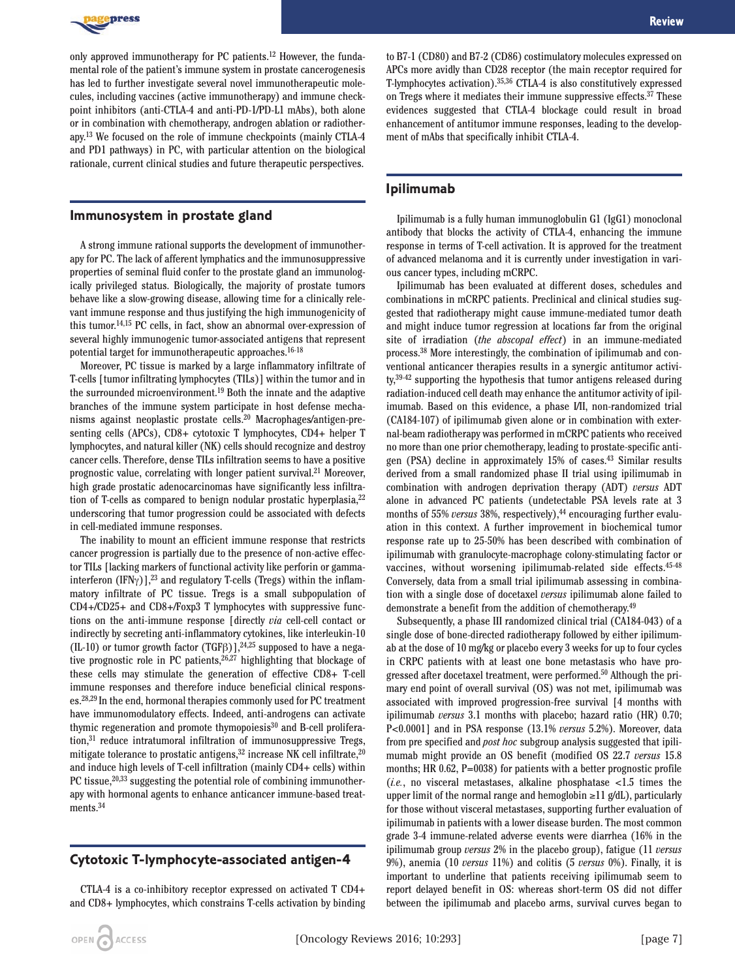

only approved immunotherapy for PC patients.12 However, the fundamental role of the patient's immune system in prostate cancerogenesis has led to further investigate several novel immunotherapeutic molecules, including vaccines (active immunotherapy) and immune checkpoint inhibitors (anti-CTLA-4 and anti-PD-1/PD-L1 mAbs), both alone or in combination with chemotherapy, androgen ablation or radiotherapy.13 We focused on the role of immune checkpoints (mainly CTLA-4 and PD1 pathways) in PC, with particular attention on the biological rationale, current clinical studies and future therapeutic perspectives.

## **Immunosystem in prostate gland**

A strong immune rational supports the development of immunotherapy for PC. The lack of afferent lymphatics and the immunosuppressive properties of seminal fluid confer to the prostate gland an immunologically privileged status. Biologically, the majority of prostate tumors behave like a slow-growing disease, allowing time for a clinically relevant immune response and thus justifying the high immunogenicity of this tumor.14,15 PC cells, in fact, show an abnormal over-expression of several highly immunogenic tumor-associated antigens that represent potential target for immunotherapeutic approaches.<sup>16-18</sup>

Moreover, PC tissue is marked by a large inflammatory infiltrate of T-cells [tumor infiltrating lymphocytes (TILs)] within the tumor and in the surrounded microenvironment.19 Both the innate and the adaptive branches of the immune system participate in host defense mechanisms against neoplastic prostate cells.20 Macrophages/antigen-presenting cells (APCs), CD8+ cytotoxic T lymphocytes, CD4+ helper T lymphocytes, and natural killer (NK) cells should recognize and destroy cancer cells. Therefore, dense TILs infiltration seems to have a positive prognostic value, correlating with longer patient survival.21 Moreover, high grade prostatic adenocarcinomas have significantly less infiltration of T-cells as compared to benign nodular prostatic hyperplasia, <sup>22</sup> underscoring that tumor progression could be associated with defects in cell-mediated immune responses.

The inability to mount an efficient immune response that restricts cancer progression is partially due to the presence of non-active effector TILs [lacking markers of functional activity like perforin or gammainterferon (IFN $\gamma$ )],<sup>23</sup> and regulatory T-cells (Tregs) within the inflammatory infiltrate of PC tissue. Tregs is a small subpopulation of CD4+/CD25+ and CD8+/Foxp3 T lymphocytes with suppressive functions on the anti-immune response [directly *via* cell-cell contact or indirectly by secreting anti-inflammatory cytokines, like interleukin-10 (IL-10) or tumor growth factor (TGF $\beta$ )],<sup>24,25</sup> supposed to have a negative prognostic role in PC patients,<sup>26,27</sup> highlighting that blockage of these cells may stimulate the generation of effective CD8+ T-cell immune responses and therefore induce beneficial clinical responses.28,29 In the end, hormonal therapies commonly used for PC treatment have immunomodulatory effects. Indeed, anti-androgens can activate thymic regeneration and promote thymopoiesis<sup>30</sup> and B-cell proliferation,31 reduce intratumoral infiltration of immunosuppressive Tregs, mitigate tolerance to prostatic antigens,<sup>32</sup> increase NK cell infiltrate,<sup>20</sup> and induce high levels of T-cell infiltration (mainly CD4+ cells) within PC tissue,<sup>20,33</sup> suggesting the potential role of combining immunotherapy with hormonal agents to enhance anticancer immune-based treatments.34

## **Cytotoxic T-lymphocyte-associated antigen-4**

CTLA-4 is a co-inhibitory receptor expressed on activated T CD4+ and CD8+ lymphocytes, which constrains T-cells activation by binding to B7-1 (CD80) and B7-2 (CD86) costimulatory molecules expressed on APCs more avidly than CD28 receptor (the main receptor required for T-lymphocytes activation).35,36 CTLA-4 is also constitutively expressed on Tregs where it mediates their immune suppressive effects.<sup>37</sup> These evidences suggested that CTLA-4 blockage could result in broad enhancement of antitumor immune responses, leading to the development of mAbs that specifically inhibit CTLA-4.

## **Ipilimumab**

Ipilimumab is a fully human immunoglobulin G1 (IgG1) monoclonal antibody that blocks the activity of CTLA-4, enhancing the immune response in terms of T-cell activation. It is approved for the treatment of advanced melanoma and it is currently under investigation in various cancer types, including mCRPC.

Ipilimumab has been evaluated at different doses, schedules and combinations in mCRPC patients. Preclinical and clinical studies suggested that radiotherapy might cause immune-mediated tumor death and might induce tumor regression at locations far from the original site of irradiation (*the abscopal effect*) in an immune-mediated process.38 More interestingly, the combination of ipilimumab and conventional anticancer therapies results in a synergic antitumor activi $ty$ <sup>39-42</sup> supporting the hypothesis that tumor antigens released during radiation-induced cell death may enhance the antitumor activity of ipilimumab. Based on this evidence, a phase I/II, non-randomized trial (CA184-107) of ipilimumab given alone or in combination with external-beam radiotherapy was performed in mCRPC patients who received no more than one prior chemotherapy, leading to prostate-specific antigen (PSA) decline in approximately 15% of cases.43 Similar results derived from a small randomized phase II trial using ipilimumab in combination with androgen deprivation therapy (ADT) *versus* ADT alone in advanced PC patients (undetectable PSA levels rate at 3 months of 55% *versus* 38%, respectively),<sup>44</sup> encouraging further evaluation in this context. A further improvement in biochemical tumor response rate up to 25-50% has been described with combination of ipilimumab with granulocyte-macrophage colony-stimulating factor or vaccines, without worsening ipilimumab-related side effects.<sup>45-48</sup> Conversely, data from a small trial ipilimumab assessing in combination with a single dose of docetaxel *versus* ipilimumab alone failed to demonstrate a benefit from the addition of chemotherapy.49

Subsequently, a phase III randomized clinical trial (CA184-043) of a single dose of bone-directed radiotherapy followed by either ipilimumab at the dose of 10 mg/kg or placebo every 3 weeks for up to four cycles in CRPC patients with at least one bone metastasis who have progressed after docetaxel treatment, were performed.50 Although the primary end point of overall survival (OS) was not met, ipilimumab was associated with improved progression-free survival [4 months with ipilimumab *versus* 3.1 months with placebo; hazard ratio (HR) 0.70; P<0.0001] and in PSA response (13.1% *versus* 5.2%). Moreover, data from pre specified and *post hoc* subgroup analysis suggested that ipilimumab might provide an OS benefit (modified OS 22.7 *versus* 15.8 months; HR 0.62, P=0038) for patients with a better prognostic profile (*i.e.*, no visceral metastases, alkaline phosphatase <1.5 times the upper limit of the normal range and hemoglobin  $\geq 11$  g/dL), particularly for those without visceral metastases, supporting further evaluation of ipilimumab in patients with a lower disease burden. The most common grade 3-4 immune-related adverse events were diarrhea (16% in the ipilimumab group *versus* 2% in the placebo group), fatigue (11 *versus* 9%), anemia (10 *versus* 11%) and colitis (5 *versus* 0%). Finally, it is important to underline that patients receiving ipilimumab seem to report delayed benefit in OS: whereas short-term OS did not differ between the ipilimumab and placebo arms, survival curves began to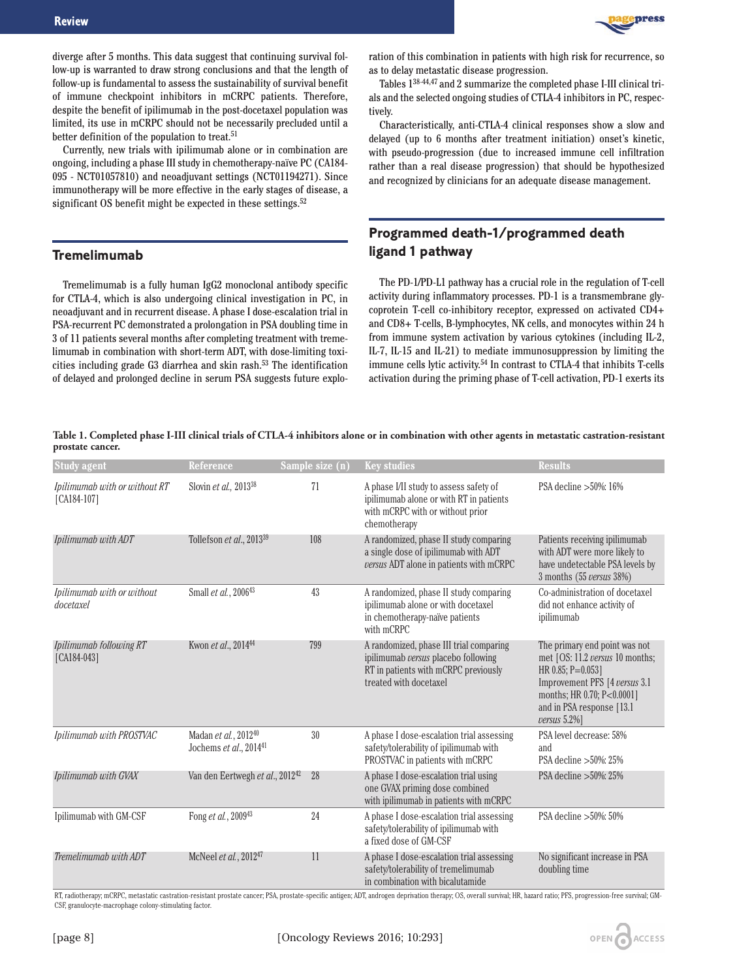

diverge after 5 months. This data suggest that continuing survival follow-up is warranted to draw strong conclusions and that the length of follow-up is fundamental to assess the sustainability of survival benefit of immune checkpoint inhibitors in mCRPC patients. Therefore, despite the benefit of ipilimumab in the post-docetaxel population was limited, its use in mCRPC should not be necessarily precluded until a better definition of the population to treat.<sup>51</sup>

Currently, new trials with ipilimumab alone or in combination are ongoing, including a phase III study in chemotherapy-naïve PC (CA184- 095 - NCT01057810) and neoadjuvant settings (NCT01194271). Since immunotherapy will be more effective in the early stages of disease, a significant OS benefit might be expected in these settings.<sup>52</sup>

## **Tremelimumab**

Tremelimumab is a fully human IgG2 monoclonal antibody specific for CTLA-4, which is also undergoing clinical investigation in PC, in neoadjuvant and in recurrent disease. A phase I dose-escalation trial in PSA-recurrent PC demonstrated a prolongation in PSA doubling time in 3 of 11 patients several months after completing treatment with tremelimumab in combination with short-term ADT, with dose-limiting toxicities including grade G3 diarrhea and skin rash.53 The identification of delayed and prolonged decline in serum PSA suggests future exploration of this combination in patients with high risk for recurrence, so as to delay metastatic disease progression.

Tables 138-44,47 and 2 summarize the completed phase I-III clinical trials and the selected ongoing studies of CTLA-4 inhibitors in PC, respectively.

Characteristically, anti-CTLA-4 clinical responses show a slow and delayed (up to 6 months after treatment initiation) onset's kinetic, with pseudo-progression (due to increased immune cell infiltration rather than a real disease progression) that should be hypothesized and recognized by clinicians for an adequate disease management.

## **Programmed death-1/programmed death ligand 1 pathway**

The PD-1/PD-L1 pathway has a crucial role in the regulation of T-cell activity during inflammatory processes. PD-1 is a transmembrane glycoprotein T-cell co-inhibitory receptor, expressed on activated CD4+ and CD8+ T-cells, B-lymphocytes, NK cells, and monocytes within 24 h from immune system activation by various cytokines (including IL-2, IL-7, IL-15 and IL-21) to mediate immunosuppression by limiting the immune cells lytic activity.54 In contrast to CTLA-4 that inhibits T-cells activation during the priming phase of T-cell activation, PD-1 exerts its

**Table 1. Completed phase I-III clinical trials of CTLA-4 inhibitors alone or in combination with other agents in metastatic castration-resistant prostate cancer.**

| <b>Study agent</b>                             | Reference                                      | Sample size (n) | <b>Key studies</b>                                                                                                                               | <b>Results</b>                                                                                                                                                                                            |
|------------------------------------------------|------------------------------------------------|-----------------|--------------------------------------------------------------------------------------------------------------------------------------------------|-----------------------------------------------------------------------------------------------------------------------------------------------------------------------------------------------------------|
| Ipilimumab with or without RT<br>$[CA184-107]$ | Slovin et al., 2013 <sup>38</sup>              | 71              | A phase I/II study to assess safety of<br>ipilimumab alone or with RT in patients<br>with mCRPC with or without prior<br>chemotherapy            | PSA decline > 50%: 16%                                                                                                                                                                                    |
| Ipilimumab with ADT                            | Tollefson et al., 2013 <sup>39</sup>           | 108             | A randomized, phase II study comparing<br>a single dose of ipilimumab with ADT<br>versus ADT alone in patients with mCRPC                        | Patients receiving ipilimumab<br>with ADT were more likely to<br>have undetectable PSA levels by<br>3 months (55 versus 38%)                                                                              |
| Ipilimumab with or without<br>docetaxel        | Small et al., 2006 <sup>43</sup>               | 43              | A randomized, phase II study comparing<br>ipilimumab alone or with docetaxel<br>in chemotherapy-naïve patients<br>with mCRPC                     | Co-administration of docetaxel<br>did not enhance activity of<br>ipilimumab                                                                                                                               |
| Ipilimumab following RT<br>$[CA184-043]$       | Kwon et al., 2014 <sup>44</sup>                | 799             | A randomized, phase III trial comparing<br>ipilimumab versus placebo following<br>RT in patients with mCRPC previously<br>treated with docetaxel | The primary end point was not<br>met [OS: 11.2 versus 10 months;<br>HR 0.85; $P=0.053$ ]<br>Improvement PFS [4 versus 3.1<br>months; HR 0.70; P<0.0001]<br>and in PSA response [13.1]<br>versus $5.2\%$ ] |
| Ipilimumab with PROSTVAC                       | Madan et al., 201240<br>Jochems et al., 201441 | 30              | A phase I dose-escalation trial assessing<br>safety/tolerability of ipilimumab with<br>PROSTVAC in patients with mCRPC                           | PSA level decrease: 58%<br>and<br>PSA decline > 50%: 25%                                                                                                                                                  |
| Ipilimumab with GVAX                           | Van den Eertwegh et al., 2012 <sup>42</sup>    | 28              | A phase I dose-escalation trial using<br>one GVAX priming dose combined<br>with ipilimumab in patients with mCRPC                                | PSA decline $>50\%$ : 25%                                                                                                                                                                                 |
| Ipilimumab with GM-CSF                         | Fong et al., 200943                            | 24              | A phase I dose-escalation trial assessing<br>safety/tolerability of ipilimumab with<br>a fixed dose of GM-CSF                                    | PSA decline $>50\%$ : 50%                                                                                                                                                                                 |
| Tremelimumab with ADT                          | McNeel et al., 201247                          | 11              | A phase I dose-escalation trial assessing<br>safety/tolerability of tremelimumab<br>in combination with bicalutamide                             | No significant increase in PSA<br>doubling time                                                                                                                                                           |

RT, radiotherapy; mCRPC, metastatic castration-resistant prostate cancer; PSA, prostate-specific antigen; ADT, androgen deprivation therapy; OS, overall survival; HR, hazard ratio; PFS, progression-free survival; GM-CSF, granulocyte-macrophage colony-stimulating factor.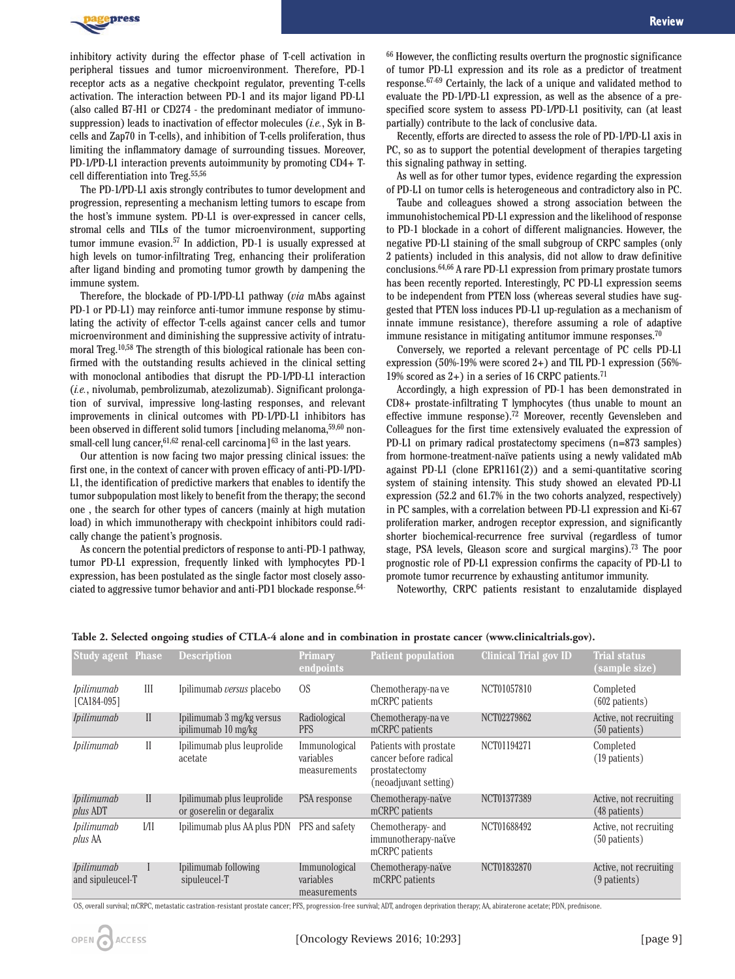

inhibitory activity during the effector phase of T-cell activation in peripheral tissues and tumor microenvironment. Therefore, PD-1 receptor acts as a negative checkpoint regulator, preventing T-cells activation. The interaction between PD-1 and its major ligand PD-L1 (also called B7-H1 or CD274 - the predominant mediator of immunosuppression) leads to inactivation of effector molecules (*i.e.*, Syk in Bcells and Zap70 in T-cells), and inhibition of T-cells proliferation, thus limiting the inflammatory damage of surrounding tissues. Moreover, PD-1/PD-L1 interaction prevents autoimmunity by promoting CD4+ Tcell differentiation into Treg.55,56

The PD-1/PD-L1 axis strongly contributes to tumor development and progression, representing a mechanism letting tumors to escape from the host's immune system. PD-L1 is over-expressed in cancer cells, stromal cells and TILs of the tumor microenvironment, supporting tumor immune evasion.57 In addiction, PD-1 is usually expressed at high levels on tumor-infiltrating Treg, enhancing their proliferation after ligand binding and promoting tumor growth by dampening the immune system.

Therefore, the blockade of PD-1/PD-L1 pathway (*via* mAbs against PD-1 or PD-L1) may reinforce anti-tumor immune response by stimulating the activity of effector T-cells against cancer cells and tumor microenvironment and diminishing the suppressive activity of intratumoral Treg.10,58 The strength of this biological rationale has been confirmed with the outstanding results achieved in the clinical setting with monoclonal antibodies that disrupt the PD-1/PD-L1 interaction (*i.e.*, nivolumab, pembrolizumab, atezolizumab). Significant prolongation of survival, impressive long-lasting responses, and relevant improvements in clinical outcomes with PD-1/PD-L1 inhibitors has been observed in different solid tumors [including melanoma,59,60 nonsmall-cell lung cancer,  $61,62$  renal-cell carcinoma]<sup>63</sup> in the last years.

Our attention is now facing two major pressing clinical issues: the first one, in the context of cancer with proven efficacy of anti-PD-1/PD-L1, the identification of predictive markers that enables to identify the tumor subpopulation most likely to benefit from the therapy; the second one , the search for other types of cancers (mainly at high mutation load) in which immunotherapy with checkpoint inhibitors could radically change the patient's prognosis.

As concern the potential predictors of response to anti-PD-1 pathway, tumor PD-L1 expression, frequently linked with lymphocytes PD-1 expression, has been postulated as the single factor most closely associated to aggressive tumor behavior and anti-PD1 blockade response.<sup>64-</sup>

<sup>66</sup> However, the conflicting results overturn the prognostic significance of tumor PD-L1 expression and its role as a predictor of treatment response.67-69 Certainly, the lack of a unique and validated method to evaluate the PD-1/PD-L1 expression, as well as the absence of a prespecified score system to assess PD-1/PD-L1 positivity, can (at least partially) contribute to the lack of conclusive data.

Recently, efforts are directed to assess the role of PD-1/PD-L1 axis in PC, so as to support the potential development of therapies targeting this signaling pathway in setting.

As well as for other tumor types, evidence regarding the expression of PD-L1 on tumor cells is heterogeneous and contradictory also in PC.

Taube and colleagues showed a strong association between the immunohistochemical PD-L1 expression and the likelihood of response to PD-1 blockade in a cohort of different malignancies. However, the negative PD-L1 staining of the small subgroup of CRPC samples (only 2 patients) included in this analysis, did not allow to draw definitive conclusions.64,66 A rare PD-L1 expression from primary prostate tumors has been recently reported. Interestingly, PC PD-L1 expression seems to be independent from PTEN loss (whereas several studies have suggested that PTEN loss induces PD-L1 up-regulation as a mechanism of innate immune resistance), therefore assuming a role of adaptive immune resistance in mitigating antitumor immune responses.70

Conversely, we reported a relevant percentage of PC cells PD-L1 expression (50%-19% were scored 2+) and TIL PD-1 expression (56%- 19% scored as  $2+$ ) in a series of 16 CRPC patients.<sup>71</sup>

Accordingly, a high expression of PD-1 has been demonstrated in CD8+ prostate-infiltrating T lymphocytes (thus unable to mount an effective immune response).72 Moreover, recently Gevensleben and Colleagues for the first time extensively evaluated the expression of PD-L1 on primary radical prostatectomy specimens (n=873 samples) from hormone-treatment-naïve patients using a newly validated mAb against PD-L1 (clone EPR1161(2)) and a semi-quantitative scoring system of staining intensity. This study showed an elevated PD-L1 expression (52.2 and 61.7% in the two cohorts analyzed, respectively) in PC samples, with a correlation between PD-L1 expression and Ki-67 proliferation marker, androgen receptor expression, and significantly shorter biochemical-recurrence free survival (regardless of tumor stage, PSA levels, Gleason score and surgical margins).73 The poor prognostic role of PD-L1 expression confirms the capacity of PD-L1 to promote tumor recurrence by exhausting antitumor immunity.

Noteworthy, CRPC patients resistant to enzalutamide displayed

| <b>Study agent Phase</b>              |              | <b>Description</b>                                      | Primary<br>endpoints                       | <b>Patient population</b>                                                                 | <b>Clinical Trial gov ID</b> | <b>Trial status</b><br>(sample size)      |
|---------------------------------------|--------------|---------------------------------------------------------|--------------------------------------------|-------------------------------------------------------------------------------------------|------------------------------|-------------------------------------------|
| <i>Ipilimumab</i><br>[CA184-095]      | Ш            | Ipilimumab versus placebo                               | O <sub>S</sub>                             | Chemotherapy-na ve<br>mCRPC patients                                                      | NCT01057810                  | Completed<br>$(602$ patients)             |
| <i>Ipilimumab</i>                     | $\mathbf{I}$ | Ipilimumab 3 mg/kg versus<br>ipilimumab 10 mg/kg        | Radiological<br><b>PFS</b>                 | Chemotherapy-na ve<br>mCRPC patients                                                      | NCT02279862                  | Active, not recruiting<br>$(50$ patients) |
| <i>Ipilimumab</i>                     | $\mathbf{I}$ | Ipilimumab plus leuprolide<br>acetate                   | Immunological<br>variables<br>measurements | Patients with prostate<br>cancer before radical<br>prostatectomy<br>(neoadjuvant setting) | NCT01194271                  | Completed<br>(19 patients)                |
| <i>Ipilimumab</i><br><i>plus</i> ADT  | $\mathbf{I}$ | Ipilimumab plus leuprolide<br>or goserelin or degaralix | PSA response                               | Chemotherapy-native<br>mCRPC patients                                                     | NCT01377389                  | Active, not recruiting<br>(48 patients)   |
| <i>Ipilimumab</i><br><i>plus</i> AA   | VII          | Ipilimumab plus AA plus PDN                             | PFS and safety                             | Chemotherapy- and<br>immunotherapy-naïve<br>mCRPC patients                                | NCT01688492                  | Active, not recruiting<br>$(50$ patients) |
| <i>Ipilimumab</i><br>and sipuleucel-T |              | Ipilimumab following<br>sipuleucel-T                    | Immunological<br>variables<br>measurements | Chemotherapy-naïve<br>mCRPC patients                                                      | NCT01832870                  | Active, not recruiting<br>(9 patients)    |

#### **Table 2. Selected ongoing studies of CTLA-4 alone and in combination in prostate cancer (www.clinicaltrials.gov).**

OS, overall survival; mCRPC, metastatic castration-resistant prostate cancer; PFS, progression-free survival; ADT, androgen deprivation therapy; AA, abiraterone acetate; PDN, prednisone.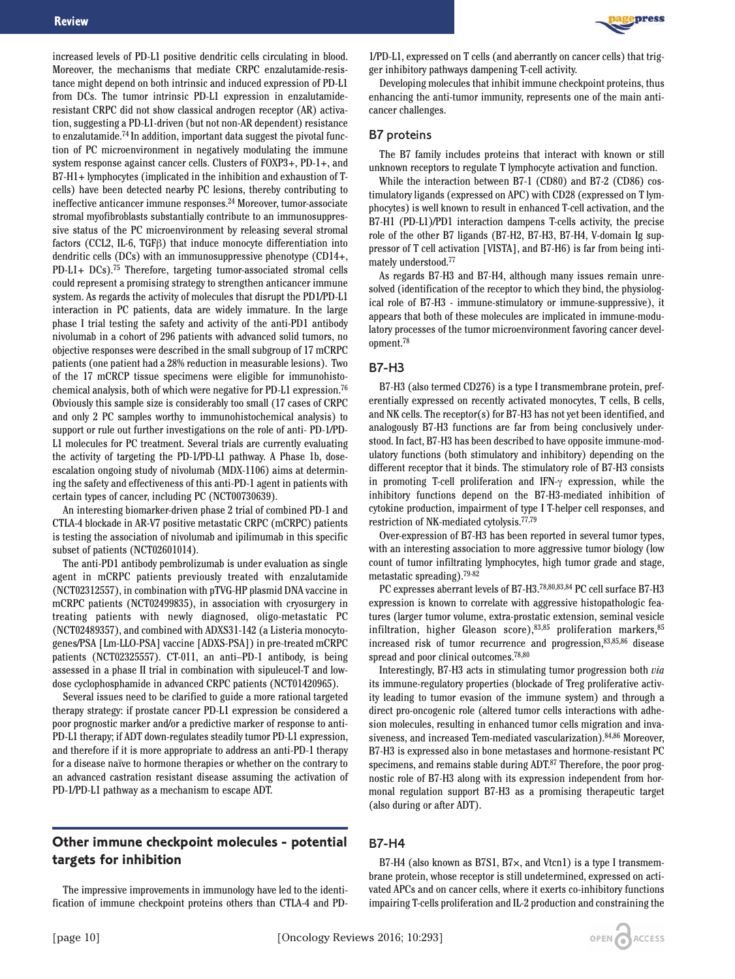increased levels of PD-L1 positive dendritic cells circulating in blood. Moreover, the mechanisms that mediate CRPC enzalutamide-resistance might depend on both intrinsic and induced expression of PD-L1 from DCs. The tumor intrinsic PD-L1 expression in enzalutamideresistant CRPC did not show classical androgen receptor (AR) activation, suggesting a PD-L1-driven (but not non-AR dependent) resistance to enzalutamide.74 In addition, important data suggest the pivotal function of PC microenvironment in negatively modulating the immune system response against cancer cells. Clusters of FOXP3+, PD-1+, and B7-H1+ lymphocytes (implicated in the inhibition and exhaustion of Tcells) have been detected nearby PC lesions, thereby contributing to ineffective anticancer immune responses.<sup>24</sup> Moreover, tumor-associate stromal myofibroblasts substantially contribute to an immunosuppressive status of the PC microenvironment by releasing several stromal factors (CCL2, IL-6, TGF $\beta$ ) that induce monocyte differentiation into dendritic cells (DCs) with an immunosuppressive phenotype (CD14+, PD-L1+ DCs).75 Therefore, targeting tumor-associated stromal cells could represent a promising strategy to strengthen anticancer immune system. As regards the activity of molecules that disrupt the PD1/PD-L1 interaction in PC patients, data are widely immature. In the large phase I trial testing the safety and activity of the anti-PD1 antibody nivolumab in a cohort of 296 patients with advanced solid tumors, no objective responses were described in the small subgroup of 17 mCRPC patients (one patient had a 28% reduction in measurable lesions). Two of the 17 mCRCP tissue specimens were eligible for immunohistochemical analysis, both of which were negative for PD-L1 expression.76 Obviously this sample size is considerably too small (17 cases of CRPC and only 2 PC samples worthy to immunohistochemical analysis) to support or rule out further investigations on the role of anti- PD-1/PD-L1 molecules for PC treatment. Several trials are currently evaluating the activity of targeting the PD-1/PD-L1 pathway. A Phase 1b, doseescalation ongoing study of nivolumab (MDX-1106) aims at determining the safety and effectiveness of this anti-PD-1 agent in patients with certain types of cancer, including PC (NCT00730639).

An interesting biomarker-driven phase 2 trial of combined PD-1 and CTLA-4 blockade in AR-V7 positive metastatic CRPC (mCRPC) patients is testing the association of nivolumab and ipilimumab in this specific subset of patients (NCT02601014).

The anti-PD1 antibody pembrolizumab is under evaluation as single agent in mCRPC patients previously treated with enzalutamide (NCT02312557), in combination with pTVG-HP plasmid DNA vaccine in mCRPC patients (NCT02499835), in association with cryosurgery in treating patients with newly diagnosed, oligo-metastatic PC (NCT02489357), and combined with ADXS31-142 (a Listeria monocytogenes/PSA [Lm-LLO-PSA] vaccine [ADXS-PSA]) in pre-treated mCRPC patients (NCT02325557). CT-011, an anti–PD-1 antibody, is being assessed in a phase II trial in combination with sipuleucel-T and lowdose cyclophosphamide in advanced CRPC patients (NCT01420965).

Several issues need to be clarified to guide a more rational targeted therapy strategy: if prostate cancer PD-L1 expression be considered a poor prognostic marker and/or a predictive marker of response to anti-PD-L1 therapy; if ADT down-regulates steadily tumor PD-L1 expression, and therefore if it is more appropriate to address an anti-PD-1 therapy for a disease naïve to hormone therapies or whether on the contrary to an advanced castration resistant disease assuming the activation of PD-1/PD-L1 pathway as a mechanism to escape ADT.

## **Other immune checkpoint molecules - potential targets for inhibition**

The impressive improvements in immunology have led to the identification of immune checkpoint proteins others than CTLA-4 and PD-



1/PD-L1, expressed on T cells (and aberrantly on cancer cells) that trigger inhibitory pathways dampening T-cell activity.

Developing molecules that inhibit immune checkpoint proteins, thus enhancing the anti-tumor immunity, represents one of the main anticancer challenges.

#### B7 proteins

The B7 family includes proteins that interact with known or still unknown receptors to regulate T lymphocyte activation and function.

While the interaction between B7-1 (CD80) and B7-2 (CD86) costimulatory ligands (expressed on APC) with CD28 (expressed on T lymphocytes) is well known to result in enhanced T-cell activation, and the B7-H1 (PD-L1)/PD1 interaction dampens T-cells activity, the precise role of the other B7 ligands (B7-H2, B7-H3, B7-H4, V-domain Ig suppressor of T cell activation [VISTA], and B7-H6) is far from being intimately understood.77

As regards B7-H3 and B7-H4, although many issues remain unresolved (identification of the receptor to which they bind, the physiological role of B7-H3 - immune-stimulatory or immune-suppressive), it appears that both of these molecules are implicated in immune-modulatory processes of the tumor microenvironment favoring cancer development.78

#### B7-H3

B7-H3 (also termed CD276) is a type I transmembrane protein, preferentially expressed on recently activated monocytes, T cells, B cells, and NK cells. The receptor(s) for B7-H3 has not yet been identified, and analogously B7-H3 functions are far from being conclusively understood. In fact, B7-H3 has been described to have opposite immune-modulatory functions (both stimulatory and inhibitory) depending on the different receptor that it binds. The stimulatory role of B7-H3 consists in promoting T-cell proliferation and IFN- $\gamma$  expression, while the inhibitory functions depend on the B7-H3-mediated inhibition of cytokine production, impairment of type I T-helper cell responses, and restriction of NK-mediated cytolysis.77,79

Over-expression of B7-H3 has been reported in several tumor types, with an interesting association to more aggressive tumor biology (low count of tumor infiltrating lymphocytes, high tumor grade and stage, metastatic spreading).79-82

PC expresses aberrant levels of B7-H3.<sup>78,80,83,84</sup> PC cell surface B7-H3 expression is known to correlate with aggressive histopathologic features (larger tumor volume, extra-prostatic extension, seminal vesicle infiltration, higher Gleason score), $83,85$  proliferation markers,  $85$ increased risk of tumor recurrence and progression,83,85,86 disease spread and poor clinical outcomes.78,80

Interestingly, B7-H3 acts in stimulating tumor progression both *via* its immune-regulatory properties (blockade of Treg proliferative activity leading to tumor evasion of the immune system) and through a direct pro-oncogenic role (altered tumor cells interactions with adhesion molecules, resulting in enhanced tumor cells migration and invasiveness, and increased Tem-mediated vascularization).84,86 Moreover, B7-H3 is expressed also in bone metastases and hormone-resistant PC specimens, and remains stable during ADT.87 Therefore, the poor prognostic role of B7-H3 along with its expression independent from hormonal regulation support B7-H3 as a promising therapeutic target (also during or after ADT).

#### B7-H4

B7-H4 (also known as B7S1, B7×, and Vtcn1) is a type I transmembrane protein, whose receptor is still undetermined, expressed on activated APCs and on cancer cells, where it exerts co-inhibitory functions impairing T-cells proliferation and IL-2 production and constraining the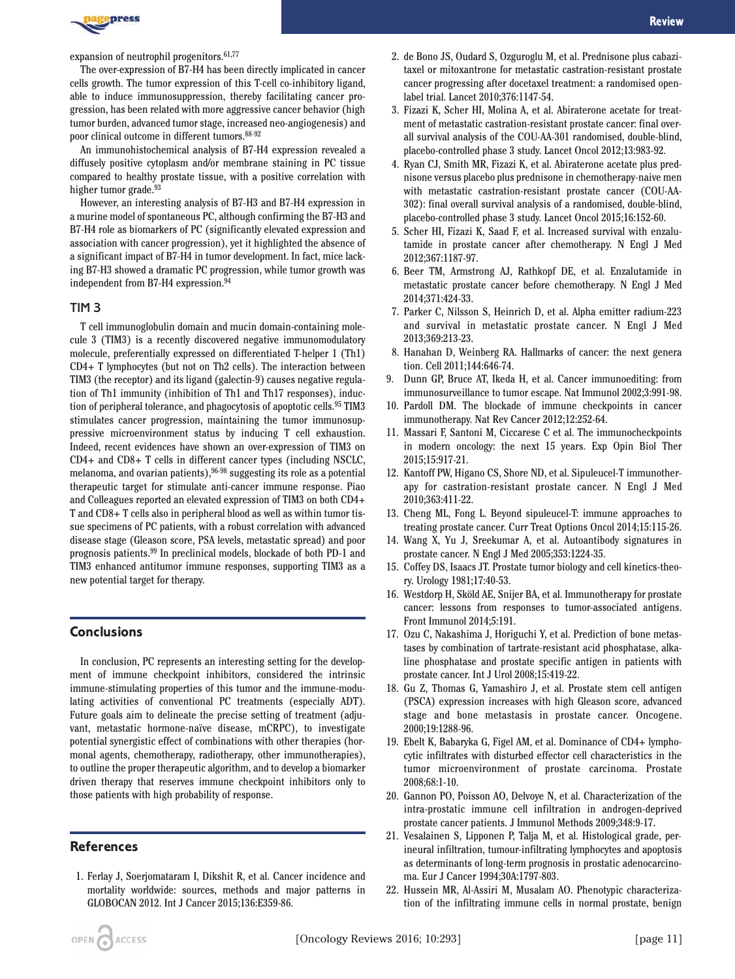

expansion of neutrophil progenitors.61,77

The over-expression of B7-H4 has been directly implicated in cancer cells growth. The tumor expression of this T-cell co-inhibitory ligand, able to induce immunosuppression, thereby facilitating cancer progression, has been related with more aggressive cancer behavior (high tumor burden, advanced tumor stage, increased neo-angiogenesis) and poor clinical outcome in different tumors.88-92

An immunohistochemical analysis of B7-H4 expression revealed a diffusely positive cytoplasm and/or membrane staining in PC tissue compared to healthy prostate tissue, with a positive correlation with higher tumor grade.<sup>93</sup>

However, an interesting analysis of B7-H3 and B7-H4 expression in a murine model of spontaneous PC, although confirming the B7-H3 and B7-H4 role as biomarkers of PC (significantly elevated expression and association with cancer progression), yet it highlighted the absence of a significant impact of B7-H4 in tumor development. In fact, mice lacking B7-H3 showed a dramatic PC progression, while tumor growth was independent from B7-H4 expression.<sup>94</sup>

#### TIM 3

T cell immunoglobulin domain and mucin domain-containing molecule 3 (TIM3) is a recently discovered negative immunomodulatory molecule, preferentially expressed on differentiated T-helper 1 (Th1) CD4+ T lymphocytes (but not on Th2 cells). The interaction between TIM3 (the receptor) and its ligand (galectin-9) causes negative regulation of Th1 immunity (inhibition of Th1 and Th17 responses), induction of peripheral tolerance, and phagocytosis of apoptotic cells.<sup>95</sup> TIM3 stimulates cancer progression, maintaining the tumor immunosuppressive microenvironment status by inducing T cell exhaustion. Indeed, recent evidences have shown an over-expression of TIM3 on CD4+ and CD8+ T cells in different cancer types (including NSCLC, melanoma, and ovarian patients),  $96-98$  suggesting its role as a potential therapeutic target for stimulate anti-cancer immune response. Piao and Colleagues reported an elevated expression of TIM3 on both CD4+ T and CD8+ T cells also in peripheral blood as well as within tumor tissue specimens of PC patients, with a robust correlation with advanced disease stage (Gleason score, PSA levels, metastatic spread) and poor prognosis patients.99 In preclinical models, blockade of both PD-1 and TIM3 enhanced antitumor immune responses, supporting TIM3 as a new potential target for therapy.

### **Conclusions**

In conclusion, PC represents an interesting setting for the development of immune checkpoint inhibitors, considered the intrinsic immune-stimulating properties of this tumor and the immune-modulating activities of conventional PC treatments (especially ADT). Future goals aim to delineate the precise setting of treatment (adjuvant, metastatic hormone-naïve disease, mCRPC), to investigate potential synergistic effect of combinations with other therapies (hormonal agents, chemotherapy, radiotherapy, other immunotherapies), to outline the proper therapeutic algorithm, and to develop a biomarker driven therapy that reserves immune checkpoint inhibitors only to those patients with high probability of response.

## **References**

1. Ferlay J, Soerjomataram I, Dikshit R, et al. Cancer incidence and mortality worldwide: sources, methods and major patterns in GLOBOCAN 2012. Int J Cancer 2015;136:E359-86.

- 2. de Bono JS, Oudard S, Ozguroglu M, et al. Prednisone plus cabazitaxel or mitoxantrone for metastatic castration-resistant prostate cancer progressing after docetaxel treatment: a randomised openlabel trial. Lancet 2010;376:1147-54.
- 3. Fizazi K, Scher HI, Molina A, et al. Abiraterone acetate for treatment of metastatic castration-resistant prostate cancer: final overall survival analysis of the COU-AA-301 randomised, double-blind, placebo-controlled phase 3 study. Lancet Oncol 2012;13:983-92.
- 4. Ryan CJ, Smith MR, Fizazi K, et al. Abiraterone acetate plus prednisone versus placebo plus prednisone in chemotherapy-naive men with metastatic castration-resistant prostate cancer (COU-AA-302): final overall survival analysis of a randomised, double-blind, placebo-controlled phase 3 study. Lancet Oncol 2015;16:152-60.
- 5. Scher HI, Fizazi K, Saad F, et al. Increased survival with enzalutamide in prostate cancer after chemotherapy. N Engl J Med 2012;367:1187-97.
- 6. Beer TM, Armstrong AJ, Rathkopf DE, et al. Enzalutamide in metastatic prostate cancer before chemotherapy. N Engl J Med 2014;371:424-33.
- 7. Parker C, Nilsson S, Heinrich D, et al. Alpha emitter radium-223 and survival in metastatic prostate cancer. N Engl J Med 2013;369:213-23.
- 8. Hanahan D, Weinberg RA. Hallmarks of cancer: the next genera tion. Cell 2011;144:646-74.
- 9. Dunn GP, Bruce AT, Ikeda H, et al. Cancer immunoediting: from immunosurveillance to tumor escape. Nat Immunol 2002;3:991-98.
- 10. Pardoll DM. The blockade of immune checkpoints in cancer immunotherapy. Nat Rev Cancer 2012;12:252-64.
- 11. Massari F, Santoni M, Ciccarese C et al. The immunocheckpoints in modern oncology: the next 15 years. Exp Opin Biol Ther 2015;15:917-21.
- 12. Kantoff PW, Higano CS, Shore ND, et al. Sipuleucel-T immunotherapy for castration-resistant prostate cancer. N Engl J Med 2010;363:411-22.
- 13. Cheng ML, Fong L. Beyond sipuleucel-T: immune approaches to treating prostate cancer. Curr Treat Options Oncol 2014;15:115-26.
- 14. Wang X, Yu J, Sreekumar A, et al. Autoantibody signatures in prostate cancer. N Engl J Med 2005;353:1224-35.
- 15. Coffey DS, Isaacs JT. Prostate tumor biology and cell kinetics-theory. Urology 1981;17:40-53.
- 16. Westdorp H, Sköld AE, Snijer BA, et al. Immunotherapy for prostate cancer: lessons from responses to tumor-associated antigens. Front Immunol 2014;5:191.
- 17. Ozu C, Nakashima J, Horiguchi Y, et al. Prediction of bone metastases by combination of tartrate-resistant acid phosphatase, alkaline phosphatase and prostate specific antigen in patients with prostate cancer. Int J Urol 2008;15:419-22.
- 18. Gu Z, Thomas G, Yamashiro J, et al. Prostate stem cell antigen (PSCA) expression increases with high Gleason score, advanced stage and bone metastasis in prostate cancer. Oncogene. 2000;19:1288-96.
- 19. Ebelt K, Babaryka G, Figel AM, et al. Dominance of CD4+ lymphocytic infiltrates with disturbed effector cell characteristics in the tumor microenvironment of prostate carcinoma. Prostate 2008;68:1-10.
- 20. Gannon PO, Poisson AO, Delvoye N, et al. Characterization of the intra-prostatic immune cell infiltration in androgen-deprived prostate cancer patients. J Immunol Methods 2009;348:9-17.
- 21. Vesalainen S, Lipponen P, Talja M, et al. Histological grade, perineural infiltration, tumour-infiltrating lymphocytes and apoptosis as determinants of long-term prognosis in prostatic adenocarcinoma. Eur J Cancer 1994;30A:1797-803.
- 22. Hussein MR, Al-Assiri M, Musalam AO. Phenotypic characterization of the infiltrating immune cells in normal prostate, benign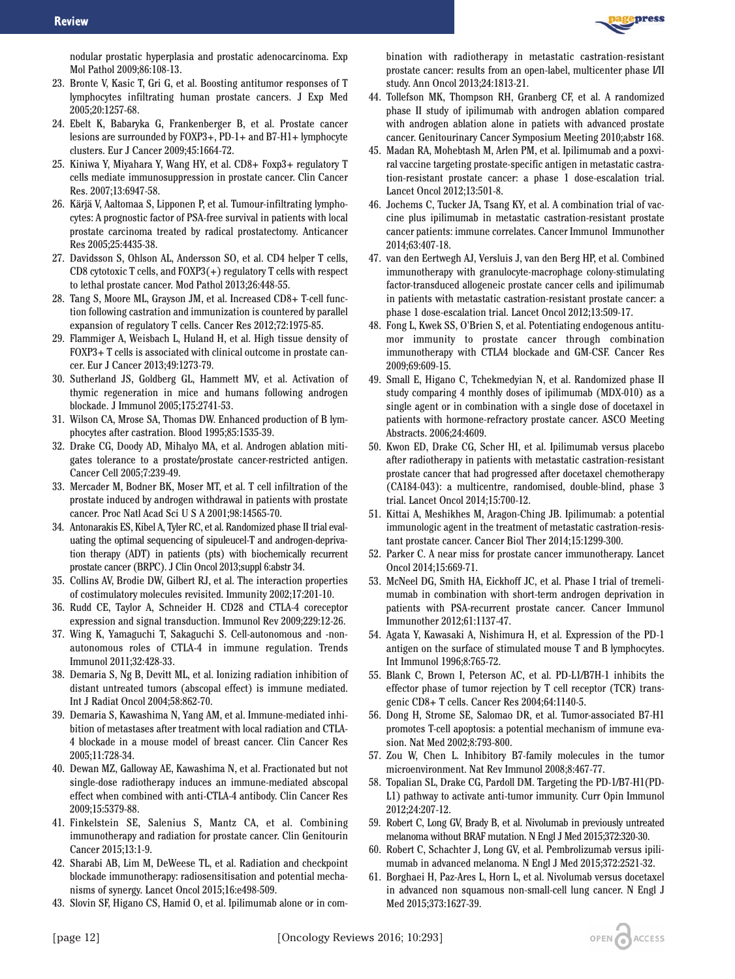

nodular prostatic hyperplasia and prostatic adenocarcinoma. Exp Mol Pathol 2009;86:108-13.

- 23. Bronte V, Kasic T, Gri G, et al. Boosting antitumor responses of T lymphocytes infiltrating human prostate cancers. J Exp Med 2005;20:1257-68.
- 24. Ebelt K, Babaryka G, Frankenberger B, et al. Prostate cancer lesions are surrounded by FOXP3+, PD-1+ and B7-H1+ lymphocyte clusters. Eur J Cancer 2009;45:1664-72.
- 25. Kiniwa Y, Miyahara Y, Wang HY, et al. CD8+ Foxp3+ regulatory T cells mediate immunosuppression in prostate cancer. Clin Cancer Res. 2007;13:6947-58.
- 26. Kärjä V, Aaltomaa S, Lipponen P, et al. Tumour-infiltrating lymphocytes: A prognostic factor of PSA-free survival in patients with local prostate carcinoma treated by radical prostatectomy. Anticancer Res 2005;25:4435-38.
- 27. Davidsson S, Ohlson AL, Andersson SO, et al. CD4 helper T cells, CD8 cytotoxic T cells, and FOXP3(+) regulatory T cells with respect to lethal prostate cancer. Mod Pathol 2013;26:448-55.
- 28. Tang S, Moore ML, Grayson JM, et al. Increased CD8+ T-cell function following castration and immunization is countered by parallel expansion of regulatory T cells. Cancer Res 2012;72:1975-85.
- 29. Flammiger A, Weisbach L, Huland H, et al. High tissue density of FOXP3+ T cells is associated with clinical outcome in prostate cancer. Eur J Cancer 2013;49:1273-79.
- 30. Sutherland JS, Goldberg GL, Hammett MV, et al. Activation of thymic regeneration in mice and humans following androgen blockade. J Immunol 2005;175:2741-53.
- 31. Wilson CA, Mrose SA, Thomas DW. Enhanced production of B lymphocytes after castration. Blood 1995;85:1535-39.
- 32. Drake CG, Doody AD, Mihalyo MA, et al. Androgen ablation mitigates tolerance to a prostate/prostate cancer-restricted antigen. Cancer Cell 2005;7:239-49.
- 33. Mercader M, Bodner BK, Moser MT, et al. T cell infiltration of the prostate induced by androgen withdrawal in patients with prostate cancer. Proc Natl Acad Sci U S A 2001;98:14565-70.
- 34. Antonarakis ES, Kibel A, Tyler RC, et al. Randomized phase II trial evaluating the optimal sequencing of sipuleucel-T and androgen-deprivation therapy (ADT) in patients (pts) with biochemically recurrent prostate cancer (BRPC). J Clin Oncol 2013;suppl 6:abstr 34.
- 35. Collins AV, Brodie DW, Gilbert RJ, et al. The interaction properties of costimulatory molecules revisited. Immunity 2002;17:201-10.
- 36. Rudd CE, Taylor A, Schneider H. CD28 and CTLA-4 coreceptor expression and signal transduction. Immunol Rev 2009;229:12-26.
- 37. Wing K, Yamaguchi T, Sakaguchi S. Cell-autonomous and -nonautonomous roles of CTLA-4 in immune regulation. Trends Immunol 2011;32:428-33.
- 38. Demaria S, Ng B, Devitt ML, et al. Ionizing radiation inhibition of distant untreated tumors (abscopal effect) is immune mediated. Int J Radiat Oncol 2004;58:862-70.
- 39. Demaria S, Kawashima N, Yang AM, et al. Immune-mediated inhibition of metastases after treatment with local radiation and CTLA-4 blockade in a mouse model of breast cancer. Clin Cancer Res 2005;11:728-34.
- 40. Dewan MZ, Galloway AE, Kawashima N, et al. Fractionated but not single-dose radiotherapy induces an immune-mediated abscopal effect when combined with anti-CTLA-4 antibody. Clin Cancer Res 2009;15:5379-88.
- 41. Finkelstein SE, Salenius S, Mantz CA, et al. Combining immunotherapy and radiation for prostate cancer. Clin Genitourin Cancer 2015;13:1-9.
- 42. Sharabi AB, Lim M, DeWeese TL, et al. Radiation and checkpoint blockade immunotherapy: radiosensitisation and potential mechanisms of synergy. Lancet Oncol 2015;16:e498-509.
- 43. Slovin SF, Higano CS, Hamid O, et al. Ipilimumab alone or in com-

bination with radiotherapy in metastatic castration-resistant prostate cancer: results from an open-label, multicenter phase I/II study. Ann Oncol 2013;24:1813-21.

- 44. Tollefson MK, Thompson RH, Granberg CF, et al. A randomized phase II study of ipilimumab with androgen ablation compared with androgen ablation alone in patiets with advanced prostate cancer. Genitourinary Cancer Symposium Meeting 2010;abstr 168.
- 45. Madan RA, Mohebtash M, Arlen PM, et al. Ipilimumab and a poxviral vaccine targeting prostate-specific antigen in metastatic castration-resistant prostate cancer: a phase 1 dose-escalation trial. Lancet Oncol 2012;13:501-8.
- 46. Jochems C, Tucker JA, Tsang KY, et al. A combination trial of vaccine plus ipilimumab in metastatic castration-resistant prostate cancer patients: immune correlates. Cancer Immunol Immunother 2014;63:407-18.
- 47. van den Eertwegh AJ, Versluis J, van den Berg HP, et al. Combined immunotherapy with granulocyte-macrophage colony-stimulating factor-transduced allogeneic prostate cancer cells and ipilimumab in patients with metastatic castration-resistant prostate cancer: a phase 1 dose-escalation trial. Lancet Oncol 2012;13:509-17.
- 48. Fong L, Kwek SS, O'Brien S, et al. Potentiating endogenous antitumor immunity to prostate cancer through combination immunotherapy with CTLA4 blockade and GM-CSF. Cancer Res 2009;69:609-15.
- 49. Small E, Higano C, Tchekmedyian N, et al. Randomized phase II study comparing 4 monthly doses of ipilimumab (MDX-010) as a single agent or in combination with a single dose of docetaxel in patients with hormone-refractory prostate cancer. ASCO Meeting Abstracts. 2006;24:4609.
- 50. Kwon ED, Drake CG, Scher HI, et al. Ipilimumab versus placebo after radiotherapy in patients with metastatic castration-resistant prostate cancer that had progressed after docetaxel chemotherapy (CA184-043): a multicentre, randomised, double-blind, phase 3 trial. Lancet Oncol 2014;15:700-12.
- 51. Kittai A, Meshikhes M, Aragon-Ching JB. Ipilimumab: a potential immunologic agent in the treatment of metastatic castration-resistant prostate cancer. Cancer Biol Ther 2014;15:1299-300.
- 52. Parker C. A near miss for prostate cancer immunotherapy. Lancet Oncol 2014;15:669-71.
- 53. McNeel DG, Smith HA, Eickhoff JC, et al. Phase I trial of tremelimumab in combination with short-term androgen deprivation in patients with PSA-recurrent prostate cancer. Cancer Immunol Immunother 2012;61:1137-47.
- 54. Agata Y, Kawasaki A, Nishimura H, et al. Expression of the PD-1 antigen on the surface of stimulated mouse T and B lymphocytes. Int Immunol 1996;8:765-72.
- 55. Blank C, Brown I, Peterson AC, et al. PD-L1/B7H-1 inhibits the effector phase of tumor rejection by T cell receptor (TCR) transgenic CD8+ T cells. Cancer Res 2004;64:1140-5.
- 56. Dong H, Strome SE, Salomao DR, et al. Tumor-associated B7-H1 promotes T-cell apoptosis: a potential mechanism of immune evasion. Nat Med 2002;8:793-800.
- 57. Zou W, Chen L. Inhibitory B7-family molecules in the tumor microenvironment. Nat Rev Immunol 2008;8:467-77.
- 58. Topalian SL, Drake CG, Pardoll DM. Targeting the PD-1/B7-H1(PD-L1) pathway to activate anti-tumor immunity. Curr Opin Immunol 2012;24:207-12.
- 59. Robert C, Long GV, Brady B, et al. Nivolumab in previously untreated melanoma without BRAF mutation. N Engl J Med 2015;372:320-30.
- 60. Robert C, Schachter J, Long GV, et al. Pembrolizumab versus ipilimumab in advanced melanoma. N Engl J Med 2015;372:2521-32.
- 61. Borghaei H, Paz-Ares L, Horn L, et al. Nivolumab versus docetaxel in advanced non squamous non-small-cell lung cancer. N Engl J Med 2015;373:1627-39.